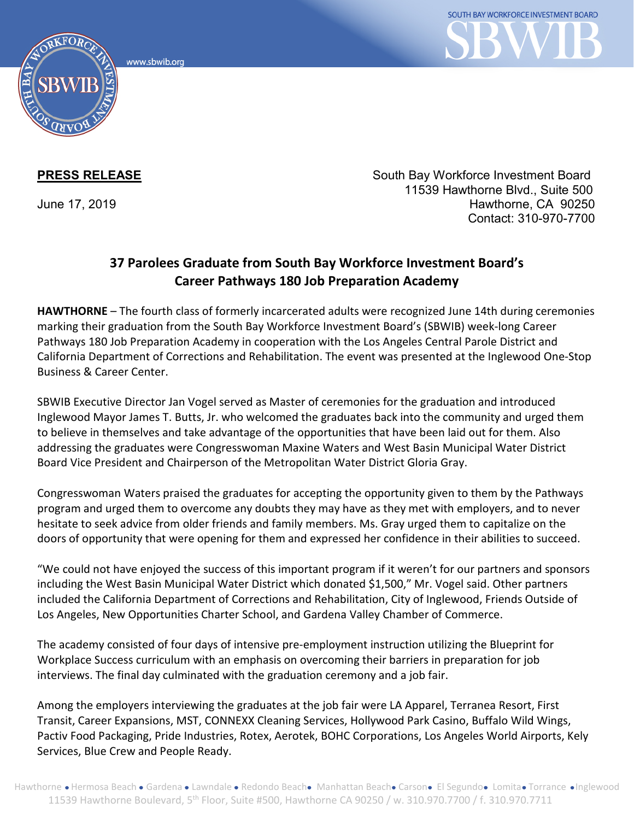www.sbwib.org



**PRESS RELEASE** South Bay Workforce Investment Board 11539 Hawthorne Blvd., Suite 500 June 17, 2019 Hawthorne, CA 90250 Contact: 310-970-7700

## **37 Parolees Graduate from South Bay Workforce Investment Board's Career Pathways 180 Job Preparation Academy**

**HAWTHORNE** – The fourth class of formerly incarcerated adults were recognized June 14th during ceremonies marking their graduation from the South Bay Workforce Investment Board's (SBWIB) week-long Career Pathways 180 Job Preparation Academy in cooperation with the Los Angeles Central Parole District and California Department of Corrections and Rehabilitation. The event was presented at the Inglewood One-Stop Business & Career Center.

SBWIB Executive Director Jan Vogel served as Master of ceremonies for the graduation and introduced Inglewood Mayor James T. Butts, Jr. who welcomed the graduates back into the community and urged them to believe in themselves and take advantage of the opportunities that have been laid out for them. Also addressing the graduates were Congresswoman Maxine Waters and West Basin Municipal Water District Board Vice President and Chairperson of the Metropolitan Water District Gloria Gray.

Congresswoman Waters praised the graduates for accepting the opportunity given to them by the Pathways program and urged them to overcome any doubts they may have as they met with employers, and to never hesitate to seek advice from older friends and family members. Ms. Gray urged them to capitalize on the doors of opportunity that were opening for them and expressed her confidence in their abilities to succeed.

"We could not have enjoyed the success of this important program if it weren't for our partners and sponsors including the West Basin Municipal Water District which donated \$1,500," Mr. Vogel said. Other partners included the California Department of Corrections and Rehabilitation, City of Inglewood, Friends Outside of Los Angeles, New Opportunities Charter School, and Gardena Valley Chamber of Commerce.

The academy consisted of four days of intensive pre-employment instruction utilizing the Blueprint for Workplace Success curriculum with an emphasis on overcoming their barriers in preparation for job interviews. The final day culminated with the graduation ceremony and a job fair.

Among the employers interviewing the graduates at the job fair were LA Apparel, Terranea Resort, First Transit, Career Expansions, MST, CONNEXX Cleaning Services, Hollywood Park Casino, Buffalo Wild Wings, Pactiv Food Packaging, Pride Industries, Rotex, Aerotek, BOHC Corporations, Los Angeles World Airports, Kely Services, Blue Crew and People Ready.